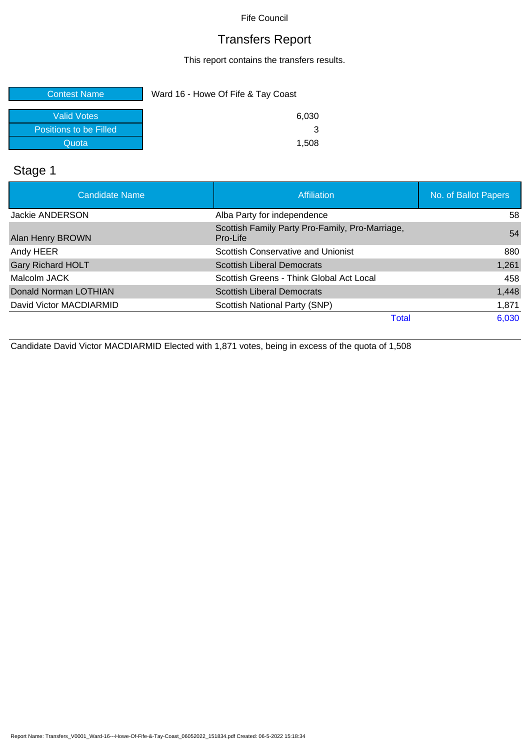## Transfers Report

This report contains the transfers results.

| <b>Contest Name</b>    | Ward 16 - Howe Of Fife & Tay Coast |  |  |
|------------------------|------------------------------------|--|--|
| <b>Valid Votes</b>     | 6,030                              |  |  |
| Positions to be Filled |                                    |  |  |
| Quota                  | 1,508                              |  |  |

## Stage 1

| Candidate Name           | Affiliation                                                 | No. of Ballot Papers |
|--------------------------|-------------------------------------------------------------|----------------------|
| Jackie ANDERSON          | Alba Party for independence                                 | 58                   |
| Alan Henry BROWN         | Scottish Family Party Pro-Family, Pro-Marriage,<br>Pro-Life | 54                   |
| Andy HEER                | Scottish Conservative and Unionist                          | 880                  |
| <b>Gary Richard HOLT</b> | <b>Scottish Liberal Democrats</b>                           | 1,261                |
| Malcolm JACK             | Scottish Greens - Think Global Act Local                    | 458                  |
| Donald Norman LOTHIAN    | <b>Scottish Liberal Democrats</b>                           | 1,448                |
| David Victor MACDIARMID  | Scottish National Party (SNP)                               | 1,871                |
|                          | <b>Total</b>                                                | 6,030                |

Candidate David Victor MACDIARMID Elected with 1,871 votes, being in excess of the quota of 1,508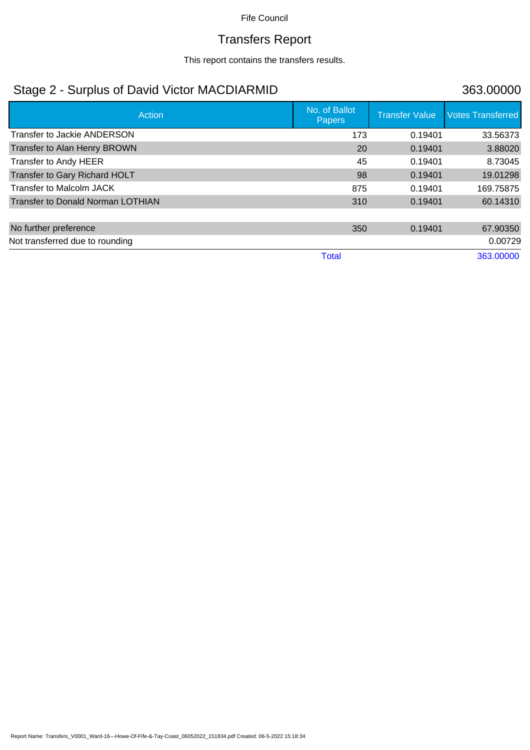# Transfers Report

This report contains the transfers results.

## Stage 2 - Surplus of David Victor MACDIARMID 363.00000

| Action                                   | No. of Ballot<br><b>Papers</b> | <b>Transfer Value</b> | <b>Votes Transferred</b> |
|------------------------------------------|--------------------------------|-----------------------|--------------------------|
| <b>Transfer to Jackie ANDERSON</b>       | 173                            | 0.19401               | 33.56373                 |
| Transfer to Alan Henry BROWN             | 20                             | 0.19401               | 3.88020                  |
| Transfer to Andy HEER                    | 45                             | 0.19401               | 8.73045                  |
| Transfer to Gary Richard HOLT            | 98                             | 0.19401               | 19.01298                 |
| Transfer to Malcolm JACK                 | 875                            | 0.19401               | 169.75875                |
| <b>Transfer to Donald Norman LOTHIAN</b> | 310                            | 0.19401               | 60.14310                 |
|                                          |                                |                       |                          |
| No further preference                    | 350                            | 0.19401               | 67.90350                 |
| Not transferred due to rounding          |                                |                       | 0.00729                  |
|                                          | <b>Total</b>                   |                       | 363.00000                |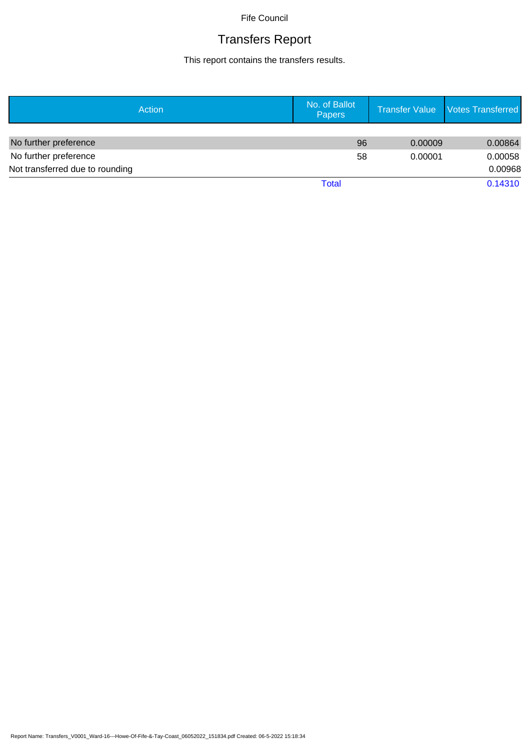# Transfers Report

This report contains the transfers results.

| Action                          | No. of Ballot<br><b>Papers</b> |         | Transfer Value   Votes Transferred |
|---------------------------------|--------------------------------|---------|------------------------------------|
|                                 |                                |         |                                    |
| No further preference           | 96                             | 0.00009 | 0.00864                            |
| No further preference           | 58                             | 0.00001 | 0.00058                            |
| Not transferred due to rounding |                                |         | 0.00968                            |
|                                 | Total                          |         | 0.14310                            |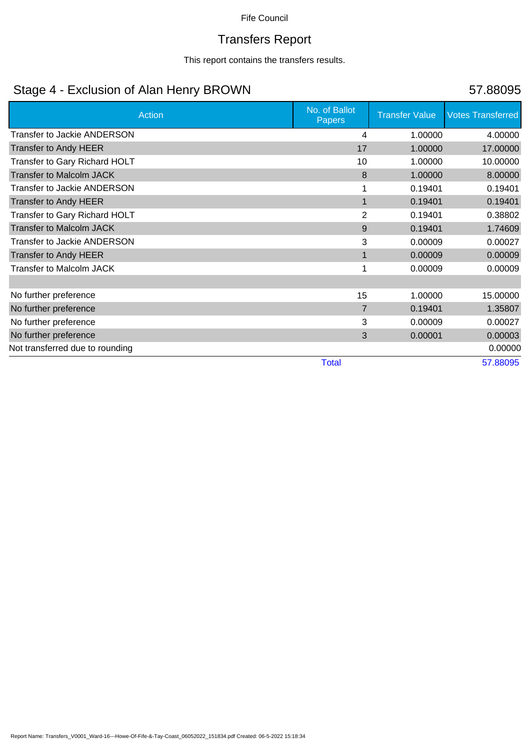# Transfers Report

This report contains the transfers results.

## Stage 4 - Exclusion of Alan Henry BROWN 57.88095

| <b>Action</b>                      | No. of Ballot<br><b>Papers</b> | <b>Transfer Value</b> | <b>Votes Transferred</b> |
|------------------------------------|--------------------------------|-----------------------|--------------------------|
| <b>Transfer to Jackie ANDERSON</b> | 4                              | 1.00000               | 4.00000                  |
| <b>Transfer to Andy HEER</b>       | 17                             | 1.00000               | 17.00000                 |
| Transfer to Gary Richard HOLT      | 10                             | 1.00000               | 10.00000                 |
| <b>Transfer to Malcolm JACK</b>    | 8                              | 1.00000               | 8.00000                  |
| <b>Transfer to Jackie ANDERSON</b> |                                | 0.19401               | 0.19401                  |
| <b>Transfer to Andy HEER</b>       | 1                              | 0.19401               | 0.19401                  |
| Transfer to Gary Richard HOLT      | $\overline{2}$                 | 0.19401               | 0.38802                  |
| <b>Transfer to Malcolm JACK</b>    | 9                              | 0.19401               | 1.74609                  |
| <b>Transfer to Jackie ANDERSON</b> | 3                              | 0.00009               | 0.00027                  |
| <b>Transfer to Andy HEER</b>       | 1                              | 0.00009               | 0.00009                  |
| <b>Transfer to Malcolm JACK</b>    |                                | 0.00009               | 0.00009                  |
|                                    |                                |                       |                          |
| No further preference              | 15                             | 1.00000               | 15.00000                 |
| No further preference              | $\overline{7}$                 | 0.19401               | 1.35807                  |
| No further preference              | 3                              | 0.00009               | 0.00027                  |
| No further preference              | 3                              | 0.00001               | 0.00003                  |
| Not transferred due to rounding    |                                |                       | 0.00000                  |
|                                    | <b>Total</b>                   |                       | 57.88095                 |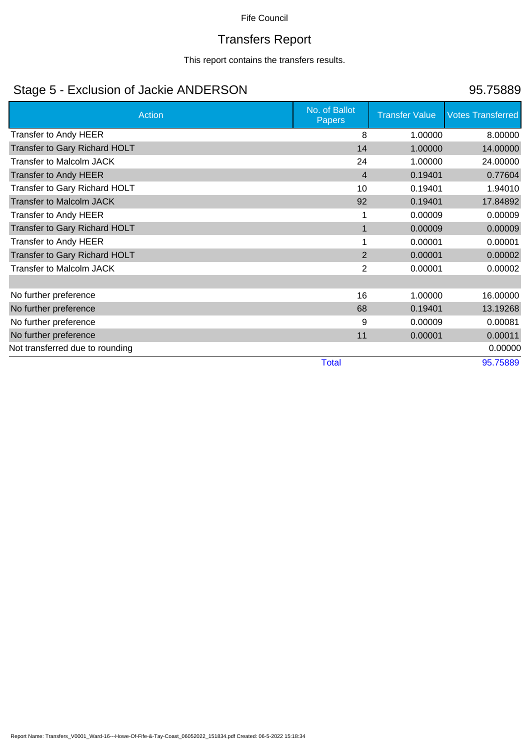# Transfers Report

This report contains the transfers results.

## Stage 5 - Exclusion of Jackie ANDERSON 95.75889

| <b>Action</b>                   | No. of Ballot<br><b>Papers</b> | <b>Transfer Value</b> | <b>Votes Transferred</b> |
|---------------------------------|--------------------------------|-----------------------|--------------------------|
| Transfer to Andy HEER           | 8                              | 1.00000               | 8.00000                  |
| Transfer to Gary Richard HOLT   | 14                             | 1.00000               | 14.00000                 |
| <b>Transfer to Malcolm JACK</b> | 24                             | 1.00000               | 24.00000                 |
| <b>Transfer to Andy HEER</b>    | $\overline{4}$                 | 0.19401               | 0.77604                  |
| Transfer to Gary Richard HOLT   | 10                             | 0.19401               | 1.94010                  |
| <b>Transfer to Malcolm JACK</b> | 92                             | 0.19401               | 17.84892                 |
| Transfer to Andy HEER           |                                | 0.00009               | 0.00009                  |
| Transfer to Gary Richard HOLT   | 1                              | 0.00009               | 0.00009                  |
| Transfer to Andy HEER           |                                | 0.00001               | 0.00001                  |
| Transfer to Gary Richard HOLT   | 2                              | 0.00001               | 0.00002                  |
| <b>Transfer to Malcolm JACK</b> | $\overline{2}$                 | 0.00001               | 0.00002                  |
|                                 |                                |                       |                          |
| No further preference           | 16                             | 1.00000               | 16.00000                 |
| No further preference           | 68                             | 0.19401               | 13.19268                 |
| No further preference           | 9                              | 0.00009               | 0.00081                  |
| No further preference           | 11                             | 0.00001               | 0.00011                  |
| Not transferred due to rounding |                                |                       | 0.00000                  |
|                                 | <b>Total</b>                   |                       | 95.75889                 |